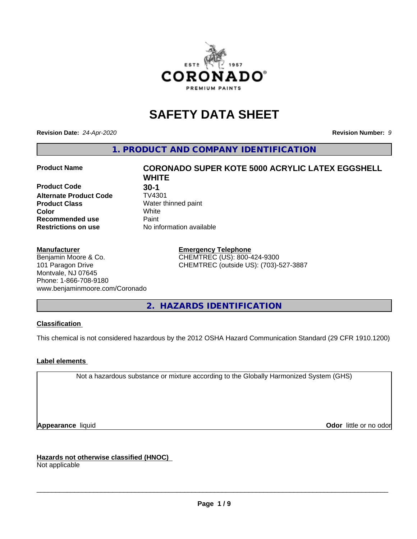

# **SAFETY DATA SHEET**

**Revision Date:** *24-Apr-2020* **Revision Number:** *9*

**1. PRODUCT AND COMPANY IDENTIFICATION**

**Product Code 61 130-1<br>Alternate Product Code 61 17V4301 Alternate Product Code Product Class** Water thinned paint<br> **Color** White **Recommended use Caint Restrictions on use** No information available

#### **Manufacturer**

Benjamin Moore & Co. 101 Paragon Drive Montvale, NJ 07645 Phone: 1-866-708-9180 www.benjaminmoore.com/Coronado

# **Product Name CORONADO SUPER KOTE 5000 ACRYLIC LATEX EGGSHELL WHITE Color** White

**Emergency Telephone** CHEMTREC (US): 800-424-9300 CHEMTREC (outside US): (703)-527-3887

**2. HAZARDS IDENTIFICATION**

#### **Classification**

This chemical is not considered hazardous by the 2012 OSHA Hazard Communication Standard (29 CFR 1910.1200)

#### **Label elements**

Not a hazardous substance or mixture according to the Globally Harmonized System (GHS)

**Appearance** liquid **Contract Contract Contract Contract Contract Contract Contract Contract Contract Contract Contract Contract Contract Contract Contract Contract Contract Contract Contract Contract Contract Contract Con** 

**Hazards not otherwise classified (HNOC)**

Not applicable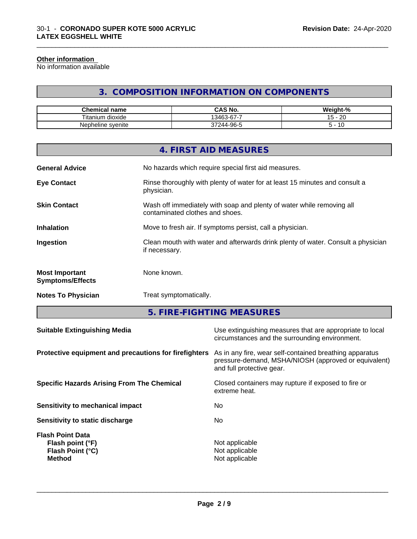#### **Other information**

No information available

## **3. COMPOSITION INFORMATION ON COMPONENTS**

\_\_\_\_\_\_\_\_\_\_\_\_\_\_\_\_\_\_\_\_\_\_\_\_\_\_\_\_\_\_\_\_\_\_\_\_\_\_\_\_\_\_\_\_\_\_\_\_\_\_\_\_\_\_\_\_\_\_\_\_\_\_\_\_\_\_\_\_\_\_\_\_\_\_\_\_\_\_\_\_\_\_\_\_\_\_\_\_\_\_\_\_\_

| <b>Chemical name</b>     | CAS No.<br>r۸                 | <br>$\sim$<br>Weight-'<br>-70 |
|--------------------------|-------------------------------|-------------------------------|
| Titanı<br>dioxide<br>.um | $\sim$<br>-<br>13463<br>3-D7- | ററ<br>. –<br>∠⊾<br>           |
| Nepheline svenite        | 244-96-5<br>$\sim$            | 10                            |

|                                                  | 4. FIRST AID MEASURES                                                                                    |
|--------------------------------------------------|----------------------------------------------------------------------------------------------------------|
| <b>General Advice</b>                            | No hazards which require special first aid measures.                                                     |
| <b>Eye Contact</b>                               | Rinse thoroughly with plenty of water for at least 15 minutes and consult a<br>physician.                |
| <b>Skin Contact</b>                              | Wash off immediately with soap and plenty of water while removing all<br>contaminated clothes and shoes. |
| <b>Inhalation</b>                                | Move to fresh air. If symptoms persist, call a physician.                                                |
| Ingestion                                        | Clean mouth with water and afterwards drink plenty of water. Consult a physician<br>if necessary.        |
| <b>Most Important</b><br><b>Symptoms/Effects</b> | None known.                                                                                              |
| <b>Notes To Physician</b>                        | Treat symptomatically.                                                                                   |

**5. FIRE-FIGHTING MEASURES**

| <b>Suitable Extinguishing Media</b>                                              | Use extinguishing measures that are appropriate to local<br>circumstances and the surrounding environment.                                   |
|----------------------------------------------------------------------------------|----------------------------------------------------------------------------------------------------------------------------------------------|
| Protective equipment and precautions for firefighters                            | As in any fire, wear self-contained breathing apparatus<br>pressure-demand, MSHA/NIOSH (approved or equivalent)<br>and full protective gear. |
| <b>Specific Hazards Arising From The Chemical</b>                                | Closed containers may rupture if exposed to fire or<br>extreme heat.                                                                         |
| Sensitivity to mechanical impact                                                 | No                                                                                                                                           |
| Sensitivity to static discharge                                                  | No.                                                                                                                                          |
| <b>Flash Point Data</b><br>Flash point (°F)<br>Flash Point (°C)<br><b>Method</b> | Not applicable<br>Not applicable<br>Not applicable                                                                                           |
|                                                                                  |                                                                                                                                              |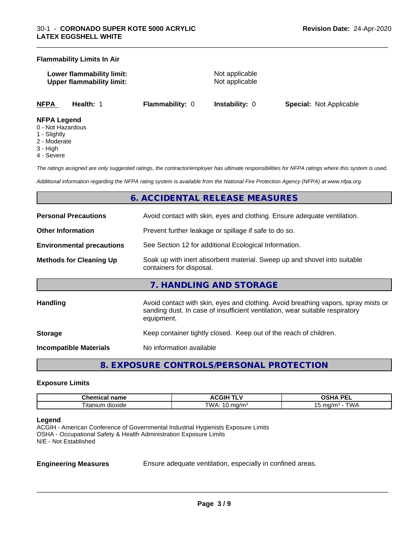#### **Flammability Limits In Air**

**Lower flammability limit:** Not applicable **Upper flammability limit:** Not applicable

\_\_\_\_\_\_\_\_\_\_\_\_\_\_\_\_\_\_\_\_\_\_\_\_\_\_\_\_\_\_\_\_\_\_\_\_\_\_\_\_\_\_\_\_\_\_\_\_\_\_\_\_\_\_\_\_\_\_\_\_\_\_\_\_\_\_\_\_\_\_\_\_\_\_\_\_\_\_\_\_\_\_\_\_\_\_\_\_\_\_\_\_\_

**NFPA Health:** 1 **Flammability:** 0 **Instability:** 0 **Special:** Not Applicable

#### **NFPA Legend**

- 0 Not Hazardous
- 1 Slightly
- 2 Moderate
- 3 High
- 4 Severe

*The ratings assigned are only suggested ratings, the contractor/employer has ultimate responsibilities for NFPA ratings where this system is used.*

*Additional information regarding the NFPA rating system is available from the National Fire Protection Agency (NFPA) at www.nfpa.org.*

#### **6. ACCIDENTAL RELEASE MEASURES**

| <b>Personal Precautions</b>      | Avoid contact with skin, eyes and clothing. Ensure adequate ventilation.                                                                                                         |
|----------------------------------|----------------------------------------------------------------------------------------------------------------------------------------------------------------------------------|
| <b>Other Information</b>         | Prevent further leakage or spillage if safe to do so.                                                                                                                            |
| <b>Environmental precautions</b> | See Section 12 for additional Ecological Information.                                                                                                                            |
| <b>Methods for Cleaning Up</b>   | Soak up with inert absorbent material. Sweep up and shovel into suitable<br>containers for disposal.                                                                             |
|                                  | 7. HANDLING AND STORAGE                                                                                                                                                          |
| <b>Handling</b>                  | Avoid contact with skin, eyes and clothing. Avoid breathing vapors, spray mists or<br>sanding dust. In case of insufficient ventilation, wear suitable respiratory<br>equipment. |
| <b>Storage</b>                   | Keep container tightly closed. Keep out of the reach of children.                                                                                                                |
| <b>Incompatible Materials</b>    | No information available                                                                                                                                                         |

**8. EXPOSURE CONTROLS/PERSONAL PROTECTION**

#### **Exposure Limits**

| name<br>Chemical<br>пане | . .<br>.GIF<br>"<br>. .<br>$\ddot{\phantom{0}}$ | <b>DEI</b><br>n<br>--<br>$-$<br>-- |
|--------------------------|-------------------------------------------------|------------------------------------|
| m dioxide<br>l Itanium   | <b>TMA</b><br>ma/mª<br>. .                      | ™ட<br>ma/n<br>.                    |

#### **Legend**

ACGIH - American Conference of Governmental Industrial Hygienists Exposure Limits OSHA - Occupational Safety & Health Administration Exposure Limits N/E - Not Established

**Engineering Measures** Ensure adequate ventilation, especially in confined areas.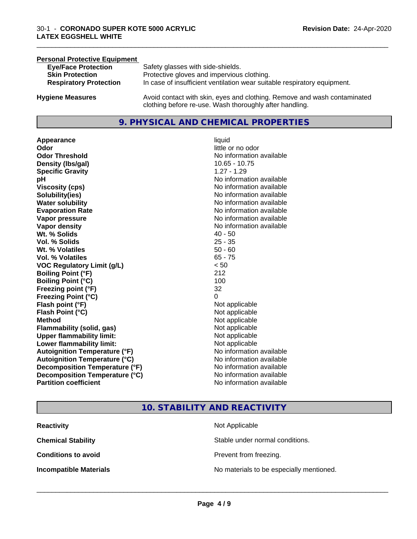#### **Personal Protective Equipment**<br> **Eve/Face Protection Eye/Face Protection** Safety glasses with side-shields.<br> **Skin Protection** Protective gloves and impervious Protective gloves and impervious clothing. **Respiratory Protection** In case of insufficient ventilation wear suitable respiratory equipment. **Hygiene Measures** Avoid contact with skin, eyes and clothing. Remove and wash contaminated clothing before re-use. Wash thoroughly after handling.

#### **9. PHYSICAL AND CHEMICAL PROPERTIES**

**Appearance** liquid **Odor**<br> **Odor Threshold**<br> **Odor Threshold**<br> **CODOR**<br> **CODOR**<br> **CODOR**<br> **CODOR**<br> **CODOR**<br> **CODOR**<br> **CODOR**<br> **CODOR**<br> **CODOR**<br> **CODOR Density (Ibs/gal)** 10.65 - 10.75 **Specific Gravity** 1.27 - 1.29 **pH pH**  $\blacksquare$ **Viscosity (cps)** No information available **Solubility(ies)** No information available **Water solubility** No information available **Evaporation Rate No information available No information available Vapor pressure** No information available **Vapor density No information available No information available Wt.** % Solids 40 - 50 **Vol. % Solids** 25 - 35 **Wt. % Volatiles** 50 - 60 **Vol. % Volatiles** 65 - 75 **VOC Regulatory Limit (g/L)** < 50 **Boiling Point (°F)** 212 **Boiling Point**  $(°C)$  100 **Freezing point (°F)** 32 **Freezing Point (°C)** 0 **Flash point (°F)**<br> **Flash Point (°C)**<br> **Flash Point (°C)**<br> **Not** applicable **Flash Point (°C) Method** Not applicable Not applicable **Flammability (solid, gas)** Not applicable **Upper flammability limit:** Not applicable **Lower flammability limit:** Not applicable **Autoignition Temperature (°F)** No information available **Autoignition Temperature (°C)** No information available **Decomposition Temperature (°F)**<br> **Decomposition Temperature (°C)** No information available **Decomposition Temperature (°C) Partition coefficient Contract Community No information available** 

**No information available** 

\_\_\_\_\_\_\_\_\_\_\_\_\_\_\_\_\_\_\_\_\_\_\_\_\_\_\_\_\_\_\_\_\_\_\_\_\_\_\_\_\_\_\_\_\_\_\_\_\_\_\_\_\_\_\_\_\_\_\_\_\_\_\_\_\_\_\_\_\_\_\_\_\_\_\_\_\_\_\_\_\_\_\_\_\_\_\_\_\_\_\_\_\_

#### **10. STABILITY AND REACTIVITY**

| <b>Reactivity</b>             | Not Applicable                           |
|-------------------------------|------------------------------------------|
| <b>Chemical Stability</b>     | Stable under normal conditions.          |
| <b>Conditions to avoid</b>    | Prevent from freezing.                   |
| <b>Incompatible Materials</b> | No materials to be especially mentioned. |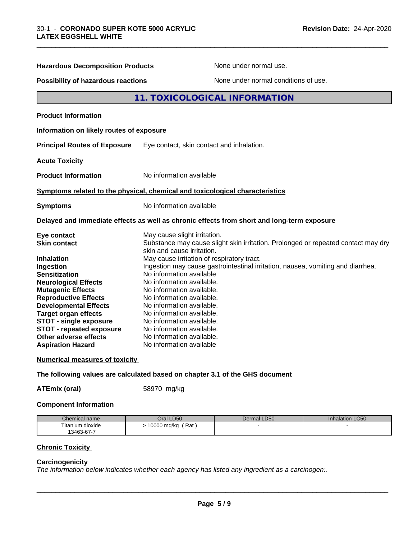| <b>Hazardous Decomposition Products</b>  | None under normal use.                                                                                          |
|------------------------------------------|-----------------------------------------------------------------------------------------------------------------|
|                                          |                                                                                                                 |
| Possibility of hazardous reactions       | None under normal conditions of use.                                                                            |
|                                          | 11. TOXICOLOGICAL INFORMATION                                                                                   |
| <b>Product Information</b>               |                                                                                                                 |
| Information on likely routes of exposure |                                                                                                                 |
| <b>Principal Routes of Exposure</b>      | Eye contact, skin contact and inhalation.                                                                       |
| <b>Acute Toxicity</b>                    |                                                                                                                 |
| <b>Product Information</b>               | No information available                                                                                        |
|                                          | Symptoms related to the physical, chemical and toxicological characteristics                                    |
| <b>Symptoms</b>                          | No information available                                                                                        |
|                                          | Delayed and immediate effects as well as chronic effects from short and long-term exposure                      |
| Eye contact                              | May cause slight irritation.                                                                                    |
| <b>Skin contact</b>                      | Substance may cause slight skin irritation. Prolonged or repeated contact may dry<br>skin and cause irritation. |
| Inhalation                               | May cause irritation of respiratory tract.                                                                      |
| Ingestion                                | Ingestion may cause gastrointestinal irritation, nausea, vomiting and diarrhea.                                 |
| <b>Sensitization</b>                     | No information available                                                                                        |
| <b>Neurological Effects</b>              | No information available.                                                                                       |
| <b>Mutagenic Effects</b>                 | No information available.                                                                                       |
| <b>Reproductive Effects</b>              | No information available.                                                                                       |
| <b>Developmental Effects</b>             | No information available.                                                                                       |
| <b>Target organ effects</b>              | No information available.                                                                                       |
| <b>STOT - single exposure</b>            | No information available.                                                                                       |
| STOT - repeated exposure                 | No information available.                                                                                       |
| Other adverse effects                    | No information available.                                                                                       |
| <b>Aspiration Hazard</b>                 | No information available                                                                                        |
| <b>Numerical measures of toxicity</b>    |                                                                                                                 |
|                                          |                                                                                                                 |

\_\_\_\_\_\_\_\_\_\_\_\_\_\_\_\_\_\_\_\_\_\_\_\_\_\_\_\_\_\_\_\_\_\_\_\_\_\_\_\_\_\_\_\_\_\_\_\_\_\_\_\_\_\_\_\_\_\_\_\_\_\_\_\_\_\_\_\_\_\_\_\_\_\_\_\_\_\_\_\_\_\_\_\_\_\_\_\_\_\_\_\_\_

#### **The following values are calculated based on chapter 3.1 of the GHS document**

**ATEmix (oral)** 58970 mg/kg

#### **Component Information**

| Chemical name    | LD50<br>Jral            | Dermal LD50 | LC50<br>Inhalation |
|------------------|-------------------------|-------------|--------------------|
| Titanium dioxide | Rat<br>10000<br>, mg/kg |             |                    |
| 13463-67-7       |                         |             |                    |

#### **Chronic Toxicity**

#### **Carcinogenicity**

*The information below indicateswhether each agency has listed any ingredient as a carcinogen:.*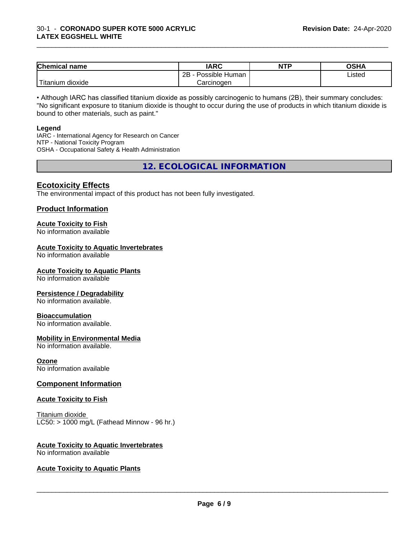| Chemical<br>name                                                                                                                                | <b>IARC</b>               | <b>NTP</b> | <b>OSHA</b> |
|-------------------------------------------------------------------------------------------------------------------------------------------------|---------------------------|------------|-------------|
|                                                                                                                                                 | .<br>2B<br>Possible Human |            | Listed<br>. |
| <b>The Contract of the Contract of the Contract of the Contract of the Contract of the Contract of the Contract o</b><br>n dioxide<br>l itanıum | Carcinoɑen                |            |             |

\_\_\_\_\_\_\_\_\_\_\_\_\_\_\_\_\_\_\_\_\_\_\_\_\_\_\_\_\_\_\_\_\_\_\_\_\_\_\_\_\_\_\_\_\_\_\_\_\_\_\_\_\_\_\_\_\_\_\_\_\_\_\_\_\_\_\_\_\_\_\_\_\_\_\_\_\_\_\_\_\_\_\_\_\_\_\_\_\_\_\_\_\_

• Although IARC has classified titanium dioxide as possibly carcinogenic to humans (2B), their summary concludes: "No significant exposure to titanium dioxide is thought to occur during the use of products in which titanium dioxide is bound to other materials, such as paint."

#### **Legend**

IARC - International Agency for Research on Cancer NTP - National Toxicity Program OSHA - Occupational Safety & Health Administration

**12. ECOLOGICAL INFORMATION**

#### **Ecotoxicity Effects**

The environmental impact of this product has not been fully investigated.

#### **Product Information**

#### **Acute Toxicity to Fish**

No information available

#### **Acute Toxicity to Aquatic Invertebrates**

No information available

#### **Acute Toxicity to Aquatic Plants**

No information available

#### **Persistence / Degradability**

No information available.

#### **Bioaccumulation**

No information available.

#### **Mobility in Environmental Media**

No information available.

#### **Ozone**

No information available

#### **Component Information**

#### **Acute Toxicity to Fish**

Titanium dioxide  $LC50:$  > 1000 mg/L (Fathead Minnow - 96 hr.)

### **Acute Toxicity to Aquatic Invertebrates**

No information available

#### **Acute Toxicity to Aquatic Plants**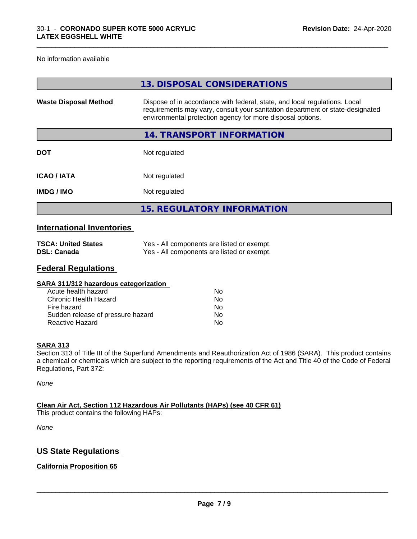No information available

|                              | 13. DISPOSAL CONSIDERATIONS                                                                                                                                                                                               |
|------------------------------|---------------------------------------------------------------------------------------------------------------------------------------------------------------------------------------------------------------------------|
| <b>Waste Disposal Method</b> | Dispose of in accordance with federal, state, and local regulations. Local<br>requirements may vary, consult your sanitation department or state-designated<br>environmental protection agency for more disposal options. |
|                              | 14. TRANSPORT INFORMATION                                                                                                                                                                                                 |
| <b>DOT</b>                   | Not regulated                                                                                                                                                                                                             |
| <b>ICAO/IATA</b>             | Not regulated                                                                                                                                                                                                             |
| <b>IMDG/IMO</b>              | Not regulated                                                                                                                                                                                                             |
|                              | <b>15. REGULATORY INFORMATION</b>                                                                                                                                                                                         |
|                              |                                                                                                                                                                                                                           |

\_\_\_\_\_\_\_\_\_\_\_\_\_\_\_\_\_\_\_\_\_\_\_\_\_\_\_\_\_\_\_\_\_\_\_\_\_\_\_\_\_\_\_\_\_\_\_\_\_\_\_\_\_\_\_\_\_\_\_\_\_\_\_\_\_\_\_\_\_\_\_\_\_\_\_\_\_\_\_\_\_\_\_\_\_\_\_\_\_\_\_\_\_

#### **International Inventories**

| <b>TSCA: United States</b> | Yes - All components are listed or exempt. |
|----------------------------|--------------------------------------------|
| <b>DSL: Canada</b>         | Yes - All components are listed or exempt. |

#### **Federal Regulations**

| Nο |  |
|----|--|
| Nο |  |
| No |  |
| No |  |
| No |  |
|    |  |

#### **SARA 313**

Section 313 of Title III of the Superfund Amendments and Reauthorization Act of 1986 (SARA). This product contains a chemical or chemicals which are subject to the reporting requirements of the Act and Title 40 of the Code of Federal Regulations, Part 372:

*None*

**Clean Air Act,Section 112 Hazardous Air Pollutants (HAPs) (see 40 CFR 61)** This product contains the following HAPs:

*None*

#### **US State Regulations**

#### **California Proposition 65**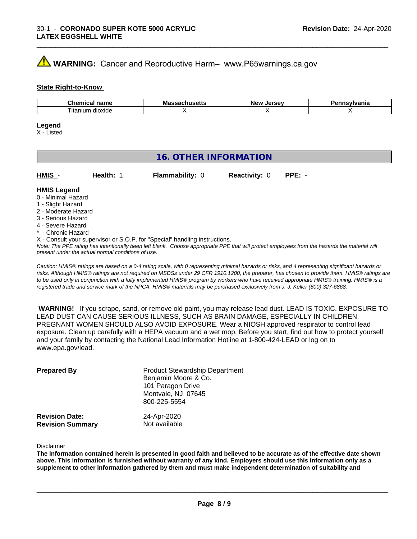# **AVIMARNING:** Cancer and Reproductive Harm– www.P65warnings.ca.gov

#### **State Right-to-Know**

| $-1$<br>пане<br>91 I I I<br>uu | ма<br>. | <b>AFCAU</b><br>…Ne…<br> | .<br>anıa |
|--------------------------------|---------|--------------------------|-----------|
| dioxide<br>l itanıum           |         |                          |           |

#### **Legend**

X - Listed

#### **16. OTHER INFORMATION**

| HMIS | Health: 1 | <b>Flammability: 0</b> | <b>Reactivity: 0 PPE: -</b> |  |
|------|-----------|------------------------|-----------------------------|--|
|      |           |                        |                             |  |

#### **HMIS Legend**

- 0 Minimal Hazard
- 1 Slight Hazard
- 2 Moderate Hazard
- 3 Serious Hazard
- 4 Severe Hazard
- \* Chronic Hazard
- X Consult your supervisor or S.O.P. for "Special" handling instructions.

*Note: The PPE rating has intentionally been left blank. Choose appropriate PPE that will protect employees from the hazards the material will present under the actual normal conditions of use.*

*Caution: HMISÒ ratings are based on a 0-4 rating scale, with 0 representing minimal hazards or risks, and 4 representing significant hazards or risks. Although HMISÒ ratings are not required on MSDSs under 29 CFR 1910.1200, the preparer, has chosen to provide them. HMISÒ ratings are to be used only in conjunction with a fully implemented HMISÒ program by workers who have received appropriate HMISÒ training. HMISÒ is a registered trade and service mark of the NPCA. HMISÒ materials may be purchased exclusively from J. J. Keller (800) 327-6868.*

 **WARNING!** If you scrape, sand, or remove old paint, you may release lead dust. LEAD IS TOXIC. EXPOSURE TO LEAD DUST CAN CAUSE SERIOUS ILLNESS, SUCH AS BRAIN DAMAGE, ESPECIALLY IN CHILDREN. PREGNANT WOMEN SHOULD ALSO AVOID EXPOSURE.Wear a NIOSH approved respirator to control lead exposure. Clean up carefully with a HEPA vacuum and a wet mop. Before you start, find out how to protect yourself and your family by contacting the National Lead Information Hotline at 1-800-424-LEAD or log on to www.epa.gov/lead.

| <b>Prepared By</b>                               | <b>Product Stewardship Department</b><br>Benjamin Moore & Co.<br>101 Paragon Drive<br>Montvale, NJ 07645 |  |  |
|--------------------------------------------------|----------------------------------------------------------------------------------------------------------|--|--|
| <b>Revision Date:</b><br><b>Revision Summary</b> | 800-225-5554<br>24-Apr-2020<br>Not available                                                             |  |  |

Disclaimer

The information contained herein is presented in good faith and believed to be accurate as of the effective date shown above. This information is furnished without warranty of any kind. Employers should use this information only as a **supplement to other information gathered by them and must make independent determination of suitability and**